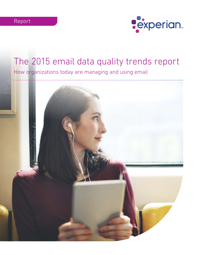

# The 2015 email data quality trends report

How organizations today are managing and using email

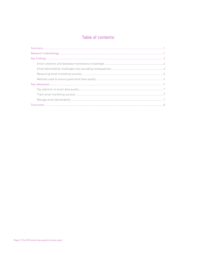# Table of contents:

| $\textbf{Summary} \textit{ \textbf{} } \textit{1} \textit{2} \textit{1} \textit{2} \textit{2} \textit{3} \textit{4} \textit{5} \textit{5} \textit{6} \textit{7} \textit{7} \textit{8} \textit{8} \textit{9} \textit{1} \textit{1} \textit{1} \textit{1} \textit{1} \textit{1} \textit{1} \textit{1} \textit{1} \textit{1} \textit{1} \textit{1} \textit{1} \textit{1} \textit{1} \textit{1} \textit{1} \textit{1} \textit{1$ |
|------------------------------------------------------------------------------------------------------------------------------------------------------------------------------------------------------------------------------------------------------------------------------------------------------------------------------------------------------------------------------------------------------------------------------|
|                                                                                                                                                                                                                                                                                                                                                                                                                              |
|                                                                                                                                                                                                                                                                                                                                                                                                                              |
|                                                                                                                                                                                                                                                                                                                                                                                                                              |
|                                                                                                                                                                                                                                                                                                                                                                                                                              |
|                                                                                                                                                                                                                                                                                                                                                                                                                              |
|                                                                                                                                                                                                                                                                                                                                                                                                                              |
|                                                                                                                                                                                                                                                                                                                                                                                                                              |
|                                                                                                                                                                                                                                                                                                                                                                                                                              |
|                                                                                                                                                                                                                                                                                                                                                                                                                              |
|                                                                                                                                                                                                                                                                                                                                                                                                                              |
|                                                                                                                                                                                                                                                                                                                                                                                                                              |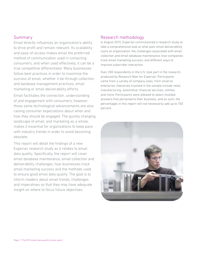## Summary

Email directly influences an organization's ability to drive profit and remain relevant. Its scalability and ease-of-access makes email the preferred method of communication used in contacting consumers, and when used effectively, it can be a true competitive differentiator. Many businesses follow best practices in order to maximize the success of email, whether it be through collection and database management practices, email marketing or email deliverability efforts.

Email facilitates the connection, understanding of and engagement with consumers; however, those same technological advancements are also raising consumer expectations about when and how they should be engaged. The quickly changing landscape of email, and marketing as a whole, makes it essential for organizations to keep pace with industry trends in order to avoid becoming obsolete.

This report will detail the findings of a new Experian research study as it relates to email data quality. Specifically, the report will cover email database maintenance, email collection and deliverability challenges, how businesses track email marketing success and the methods used to ensure good email data quality. The goal is to inform readers about email trends, challenges and imperatives so that they may have adequate insight on where to focus future objectives.

## Research methodology

In August 2015, Experian commissioned a research study to take a comprehensive look at what poor email deliverability costs an organization; the challenges associated with email collection and email database maintenance; how companies track email marketing success; and different ways to improve subscriber interaction.

Over 200 respondents in the U.S. took part in the research, produced by Research Now for Experian. Participants came from a variety of company sizes, from small to enterprise. Industries involved in the sample include retail, manufacturing, automotive, financial services, utilities and more. Participants were allowed to select multiple answers that pertained to their business, and as such, the percentages in this report will not necessarily add up to 100 percent.

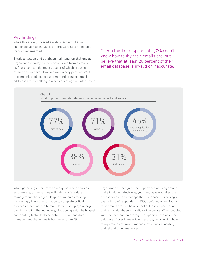# Key findings

While this survey covered a wide spectrum of email challenges across industries, there were several notable trends that emerged.

### Email collection and database maintenance challenges

Organizations today collect contact data from as many as four channels, the most popular of which are pointof-sale and website. However, over ninety percent (92%) of companies collecting customer and prospect email addresses face challenges when collecting that information. Over a third of respondents (33%) don't know how faulty their emails are, but believe that at least 20 percent of their email database is invalid or inaccurate.



When gathering email from as many disparate sources as there are, organizations will naturally face data management challenges. Despite companies moving increasingly toward automation to complete critical business functions, the human element still plays a large part in handling the technology. That being said, the biggest contributing factor to these data collection and data management challenges is human error (64%).

Organizations recognize the importance of using data to make intelligent decisions, yet many have not taken the necessary steps to manage their database. Surprisingly, over a third of respondents (33%) don't know how faulty their emails are, but believe that at least 20 percent of their email database is invalid or inaccurate. When coupled with the fact that, on average, companies have an email database of over three million records, not knowing how many emails are invalid means inefficiently allocating budget and other resources.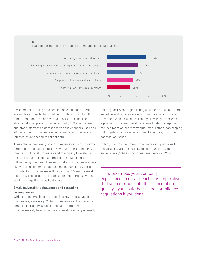

For companies facing email collection challenges, there are multiple other factors that contribute to this difficulty other than human error. Over half (52%) are concerned about customer privacy control, a third (31%) about linking customer information across the various channels used and 20 percent of companies are concerned about the lack of infrastructure needed to collect data.

These challenges are typical of companies striving towards a more data-focused culture. They must reorient not only their technological processes and machinery to scale for the future, but also educate their data stakeholders to follow new guidelines. However, smaller companies are less likely to focus on email database maintenance—40 percent of contacts in businesses with fewer than 25 employees do not do so. The larger the organization, the more likely they are to manage their email database.

## Email deliverability challenges and cascading consequences

While getting emails to the inbox is a key imperative for businesses, a majority (73%) of companies still experienced email deliverability issues in the past 12 months. Businesses rely heavily on the successful delivery of email, not only for revenue-generating activities, but also for timesensitive and privacy-related communications. However, most deal with email deliverability after they experience a problem. This reactive style of email data management focuses more on short-term fulfillment rather than scoping out long-term success, which results in many customer satisfaction issues.

In fact, the most common consequences of poor email deliverability are the inability to communicate with subscribers (41%) and poor customer service (24%).

"If, for example, your company experiences a data breach, it is imperative that you communicate that information quickly—you could be risking compliance regulations if you don't!"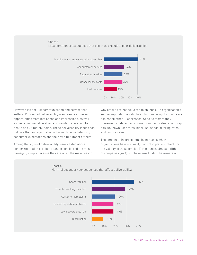

However, it's not just communication and service that suffers. Poor email deliverability also results in missed opportunities from lost opens and impressions, as well as cascading negative effects on sender reputation, list health and ultimately, sales. These deliverability issues can indicate that an organization is having trouble balancing consumer expectations and their own fulfillment of them.

Among the signs of deliverability issues listed above, sender reputation problems can be considered the most damaging simply because they are often the main reason why emails are not delivered to an inbox. An organization's sender reputation is calculated by comparing its IP address against all other IP addresses. Specific factors they measure include: email volume, complaint rates, spam trap hits, unknown user rates, blacklist listings, filtering rates and bounce rates.

The amount of incorrect emails increases when organizations have no quality control in place to check for the validity of those emails. For instance, almost a fifth of companies (24%) purchase email lists. The owners of

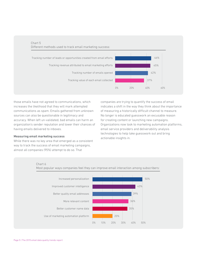

Chart 5

those emails have not agreed to communications, which increases the likelihood that they will mark attempted communications as spam. Emails gathered from unknown sources can also be questionable in legitimacy and accuracy. When left un-validated, bad emails can harm an organization's sender reputation and lower their chances of having emails delivered to inboxes.

#### Measuring email marketing success

While there was no key area that emerged as a consistent way to track the success of email marketing campaigns, almost all companies (95%) attempt to do so. That

companies are trying to quantify the success of email indicates a shift in the way they think about the importance of measuring a historically difficult channel to measure. No longer is educated guesswork an excusable reason for creating content or launching new campaigns. Organizations now look to marketing automation platforms, email service providers and deliverability analysis technologies to help take guesswork out and bring actionable insights in.

#### Chart 6

0% 10% 20% 30% 40% 50% Use of marketing automation platform Better customer name data More relevant content Better quality email addresses Improved customer intelligence Increased personalization **Figure 1.1 Contract to the Contract of the Southern Southern Southern Southern Southern Southern Southern Southern Southern Southern Southern Southern Southern Southern Southern Southern Southern** 43% 39% 36% 35% 20%

Most popular ways companies feel they can improve email interaction among subscribers: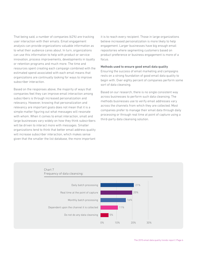That being said, a number of companies (62%) are tracking user interaction with their emails. Email engagement analysis can provide organizations valuable information as to what their audience cares about. In turn, organizations can use this information to help with product or service innovation, process improvements, developments in loyalty or retention programs and much more. The time and resources spent creating each campaign combined with the estimated spend associated with each email means that organizations are continually looking for ways to improve subscriber interaction.

Based on the responses above, the majority of ways that companies feel they can improve email interaction among subscribers is through increased personalization and relevancy. However, knowing that personalization and relevancy are important goals does not mean that it is a simple matter figuring out what messages will resonate with whom. When it comes to email interaction, small and large businesses vary widely on how they think subscribers will be driven to interact more with messages. Smaller organizations tend to think that better email address quality will increase subscriber interaction, which makes sense given that the smaller the list database, the more important it is to reach every recipient. Those in large organizations believe increased personalization is more likely to help engagement. Larger businesses have big enough email repositories where segmenting customers based on product preference or business engagement is more of a focus.

#### Methods used to ensure good email data quality

Ensuring the success of email marketing and campaigns rests on a strong foundation of good email data quality to begin with. Over eighty percent of companies perform some sort of data cleansing.

Based on our research, there is no single consistent way across businesses to perform such data cleansing. The methods businesses use to verify email addresses vary across the channels from which they are collected. Most companies prefer to manage their email data through daily processing or through real time at point of capture using a third-party data cleansing solution.

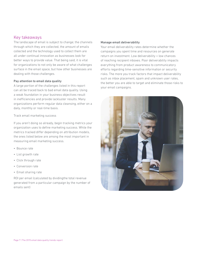## Key takeaways

The landscape of email is subject to change; the channels through which they are collected, the amount of emails collected and the technology used to collect them are all under continual innovation as businesses look for better ways to provide value. That being said, it is vital for organizations to not only be aware of what challenges surface in the email space, but how other businesses are dealing with those challenges.

## Pay attention to email data quality

A large portion of the challenges listed in this report can all be traced back to bad email data quality. Using a weak foundation in your business objectives result in inefficiencies and provide lackluster results. Many organizations perform regular data cleansing, either on a daily, monthly or real-time basis.

Track email marketing success

If you aren't doing so already, begin tracking metrics your organization uses to define marketing success. While the metrics tracked differ depending on attribution models, the ones listed below are among the most important in measuring email marketing success.

- Bounce rate
- List growth rate
- Click through rate
- Conversion rate
- Email sharing rate

ROI per email (calculated by dividingthe total revenue generated from a particular campaign by the number of emails sent)

## Manage email deliverability

Your email deliverability rates determine whether the campaigns you spent time and resources on generate return on investment. Low deliverability = low chances of reaching recipient inboxes. Poor deliverability impacts everything from product awareness to communicatory efforts regarding time-sensitive information or security risks. The more you track factors that impact deliverability such as inbox placement, spam and unknown user rates, the better you are able to target and eliminate those risks to your email campaigns.

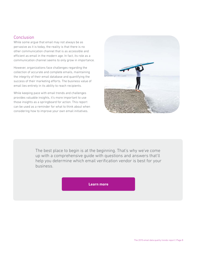# **Conclusion**

While some argue that email may not always be as pervasive as it is today, the reality is that there is no other communication channel that is as accessible and efficient as email in the modern age. In fact, its role as a communication channel seems to only grow in importance.

However, organizations face challenges regarding the collection of accurate and complete emails, maintaining the integrity of their email database and quantifying the success of their marketing efforts. The business value of email lies entirely in its ability to reach recipients.

While keeping pace with email trends and challenges provides valuable insights, it's more important to use those insights as a springboard for action. This report can be used as a reminder for what to think about when considering how to improve your own email initiatives.



The best place to begin is at the beginning. That's why we've come up with a comprehensive guide with questions and answers that'll help you determine which email verification vendor is best for your business.

**[Learn more](https://www.edq.com/globalassets/whitepapers/email-verification-buyers-guide.pdf?utm_medium=PDF&utm_campaign=2015+email+data+quality+trends+report&utm_source=White+Paper
)**